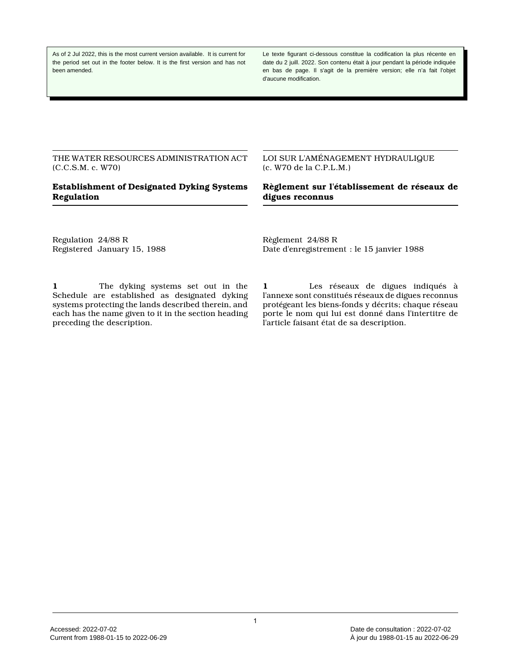As of 2 Jul 2022, this is the most current version available. It is current for the period set out in the footer below. It is the first version and has not been amended.

Le texte figurant ci-dessous constitue la codification la plus récente en date du 2 juill. 2022. Son contenu était à jour pendant la période indiquée en bas de page. Il s'agit de la première version; elle n'a fait l'objet d'aucune modification.

THE WATER RESOURCES ADMINISTRATION ACT (C.C.S.M. c. W70)

# **Establishment of Designated Dyking Systems Regulation**

LOI SUR L'AMÉNAGEMENT HYDRAULIQUE (c. W70 de la C.P.L.M.)

**Règlement sur l'établissement de réseaux de digues reconnus**

Regulation 24/88 R Registered January 15, 1988 Règlement 24/88 R Date d'enregistrement : le 15 janvier 1988

**1** The dyking systems set out in the Schedule are established as designated dyking systems protecting the lands described therein, and each has the name given to it in the section heading preceding the description.

**1** Les réseaux de digues indiqués à l'annexe sont constitués réseaux de digues reconnus protégeant les biens-fonds y décrits; chaque réseau porte le nom qui lui est donné dans l'intertitre de l'article faisant état de sa description.